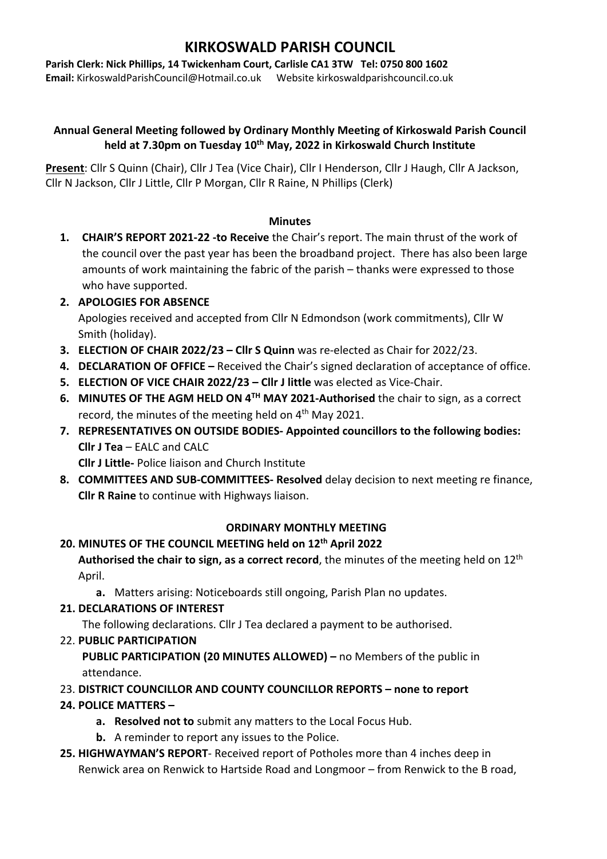# **KIRKOSWALD PARISH COUNCIL**

**Parish Clerk: Nick Phillips, 14 Twickenham Court, Carlisle CA1 3TW Tel: 0750 800 1602 Email:** KirkoswaldParishCouncil@Hotmail.co.uk Website kirkoswaldparishcouncil.co.uk

### **Annual General Meeting followed by Ordinary Monthly Meeting of Kirkoswald Parish Council held at 7.30pm on Tuesday 10th May, 2022 in Kirkoswald Church Institute**

**Present**: Cllr S Quinn (Chair), Cllr J Tea (Vice Chair), Cllr I Henderson, Cllr J Haugh, Cllr A Jackson, Cllr N Jackson, Cllr J Little, Cllr P Morgan, Cllr R Raine, N Phillips (Clerk)

#### **Minutes**

- **1. CHAIR'S REPORT 2021-22 -to Receive** the Chair's report. The main thrust of the work of the council over the past year has been the broadband project. There has also been large amounts of work maintaining the fabric of the parish – thanks were expressed to those who have supported.
- **2. APOLOGIES FOR ABSENCE** Apologies received and accepted from Cllr N Edmondson (work commitments), Cllr W Smith (holiday).
- **3. ELECTION OF CHAIR 2022/23 – Cllr S Quinn** was re-elected as Chair for 2022/23.
- **4. DECLARATION OF OFFICE –** Received the Chair's signed declaration of acceptance of office.
- **5. ELECTION OF VICE CHAIR 2022/23 – Cllr J little** was elected as Vice-Chair.
- **6. MINUTES OF THE AGM HELD ON 4TH MAY 2021-Authorised** the chair to sign, as a correct record, the minutes of the meeting held on 4<sup>th</sup> May 2021.
- **7. REPRESENTATIVES ON OUTSIDE BODIES- Appointed councillors to the following bodies: Cllr J Tea** – EALC and CALC

**Cllr J Little-** Police liaison and Church Institute

**8. COMMITTEES AND SUB-COMMITTEES- Resolved** delay decision to next meeting re finance, **Cllr R Raine** to continue with Highways liaison.

### **ORDINARY MONTHLY MEETING**

### **20. MINUTES OF THE COUNCIL MEETING held on 12th April 2022**

**Authorised the chair to sign, as a correct record**, the minutes of the meeting held on 12th April.

**a.** Matters arising: Noticeboards still ongoing, Parish Plan no updates.

**21. DECLARATIONS OF INTEREST**

The following declarations. Cllr J Tea declared a payment to be authorised.

22. **PUBLIC PARTICIPATION** 

**PUBLIC PARTICIPATION (20 MINUTES ALLOWED) –** no Members of the public in attendance.

23. **DISTRICT COUNCILLOR AND COUNTY COUNCILLOR REPORTS – none to report**

## **24. POLICE MATTERS –**

- **a. Resolved not to** submit any matters to the Local Focus Hub.
- **b.** A reminder to report any issues to the Police.
- **25. HIGHWAYMAN'S REPORT** Received report of Potholes more than 4 inches deep in Renwick area on Renwick to Hartside Road and Longmoor – from Renwick to the B road,